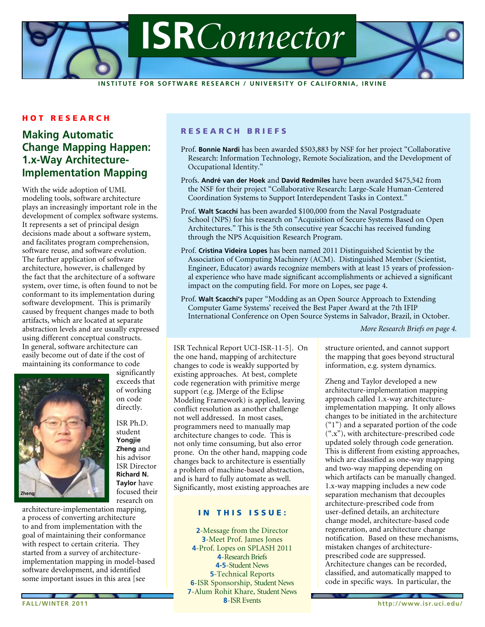

**Inst i tute for Software Research / U n ivers i ty of C a l i forn i a, Irvi n e**

# **HOT RESEARCH**

# **Making Automatic Change Mapping Happen: 1.x-Way Architecture-Implementation Mapping**

With the wide adoption of UML modeling tools, software architecture plays an increasingly important role in the development of complex software systems. It represents a set of principal design decisions made about a software system, and facilitates program comprehension, software reuse, and software evolution. The further application of software architecture, however, is challenged by the fact that the architecture of a software system, over time, is often found to not be conformant to its implementation during software development. This is primarily caused by frequent changes made to both artifacts, which are located at separate abstraction levels and are usually expressed using different conceptual constructs. In general, software architecture can easily become out of date if the cost of maintaining its conformance to code



significantly exceeds that of working on code directly.

ISR Ph.D. student **Yongjie Zheng** and his advisor ISR Director **Richard N. Taylor** have focused their research on

architecture-implementation mapping, a process of converting architecture to and from implementation with the goal of maintaining their conformance with respect to certain criteria. They started from a survey of architectureimplementation mapping in model-based software development, and identified some important issues in this area [see

# RESEARCH BRIEFS

- Prof. **Bonnie Nardi** has been awarded \$503,883 by NSF for her project "Collaborative Research: Information Technology, Remote Socialization, and the Development of Occupational Identity."
- Profs. **André van der Hoek** and **David Redmiles** have been awarded \$475,542 from the NSF for their project "Collaborative Research: Large-Scale Human-Centered Coordination Systems to Support Interdependent Tasks in Context."
- Prof. **Walt Scacchi** has been awarded \$100,000 from the Naval Postgraduate School (NPS) for his research on "Acquisition of Secure Systems Based on Open Architectures." This is the 5th consecutive year Scacchi has received funding through the NPS Acquisition Research Program.
- Prof. **Cristina Videira Lopes** has been named 2011 Distinguished Scientist by the Association of Computing Machinery (ACM). Distinguished Member (Scientist, Engineer, Educator) awards recognize members with at least 15 years of professional experience who have made significant accomplishments or achieved a significant impact on the computing field. For more on Lopes, see page 4.
- Prof. **Walt Scacchi's** paper "Modding as an Open Source Approach to Extending Computer Game Systems' received the Best Paper Award at the 7th IFIP International Conference on Open Source Systems in Salvador, Brazil, in October.

*More Research Briefs on page 4.*

ISR Technical Report UCI-ISR-11-5]. On the one hand, mapping of architecture changes to code is weakly supported by existing approaches. At best, complete code regeneration with primitive merge support (e.g. JMerge of the Eclipse Modeling Framework) is applied, leaving conflict resolution as another challenge not well addressed. In most cases, programmers need to manually map architecture changes to code. This is not only time consuming, but also error prone. On the other hand, mapping code changes back to architecture is essentially a problem of machine-based abstraction, and is hard to fully automate as well. Significantly, most existing approaches are

### in this issue:

-Meet Prof. James Jones **4-Prof. Lopes on SPLASH 2011** -Research Briefs **4**-Research Briefs **4-5**-Student News **4-5**-Student News -Technical Reports -ISR Sponsorship **6**-ISR Sponsorship, Student News -Alum Rohit Khare, Student News -ISR Events **8**-ISR Events -Message from the Director

structure oriented, and cannot support the mapping that goes beyond structural information, e.g. system dynamics.

Zheng and Taylor developed a new architecture-implementation mapping approach called 1.x-way architectureimplementation mapping. It only allows changes to be initiated in the architecture ("1") and a separated portion of the code (".x"), with architecture-prescribed code updated solely through code generation. This is different from existing approaches, which are classified as one-way mapping and two-way mapping depending on which artifacts can be manually changed. 1.x-way mapping includes a new code separation mechanism that decouples architecture-prescribed code from user-defined details, an architecture change model, architecture-based code regeneration, and architecture change notification. Based on these mechanisms, mistaken changes of architectureprescribed code are suppressed. Architecture changes can be recorded, classified, and automatically mapped to code in specific ways. In particular, the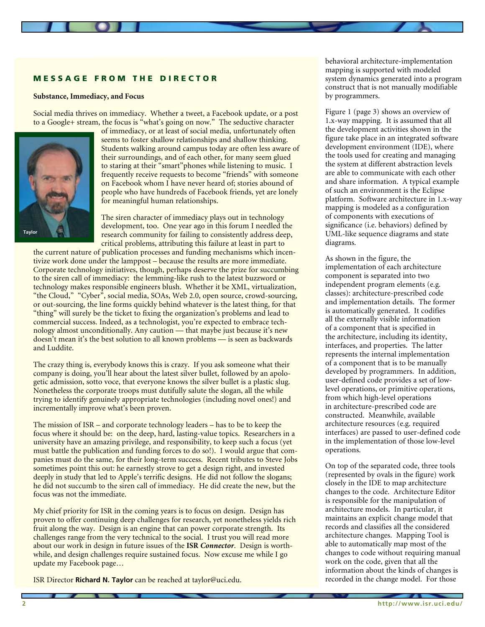# **MESSAGE FROM THE DIRECTOR**

#### **Substance, Immediacy, and Focus**

Social media thrives on immediacy. Whether a tweet, a Facebook update, or a post to a Google+ stream, the focus is "what's going on now." The seductive character



of immediacy, or at least of social media, unfortunately often seems to foster shallow relationships and shallow thinking. Students walking around campus today are often less aware of their surroundings, and of each other, for many seem glued to staring at their "smart"phones while listening to music. I frequently receive requests to become "friends" with someone on Facebook whom I have never heard of; stories abound of people who have hundreds of Facebook friends, yet are lonely for meaningful human relationships.

The siren character of immediacy plays out in technology development, too. One year ago in this forum I needled the research community for failing to consistently address deep, critical problems, attributing this failure at least in part to

the current nature of publication processes and funding mechanisms which incentivize work done under the lamppost – because the results are more immediate. Corporate technology initiatives, though, perhaps deserve the prize for succumbing to the siren call of immediacy: the lemming-like rush to the latest buzzword or technology makes responsible engineers blush. Whether it be XML, virtualization, "the Cloud," "Cyber", social media, SOAs, Web 2.0, open source, crowd-sourcing, or out-sourcing, the line forms quickly behind whatever is the latest thing, for that "thing" will surely be the ticket to fixing the organization's problems and lead to commercial success. Indeed, as a technologist, you're expected to embrace technology almost unconditionally. Any caution — that maybe just because it's new doesn't mean it's the best solution to all known problems — is seen as backwards and Luddite.

The crazy thing is, everybody knows this is crazy. If you ask someone what their company is doing, you'll hear about the latest silver bullet, followed by an apologetic admission, sotto voce, that everyone knows the silver bullet is a plastic slug. Nonetheless the corporate troops must dutifully salute the slogan, all the while trying to identify genuinely appropriate technologies (including novel ones!) and incrementally improve what's been proven.

The mission of ISR – and corporate technology leaders – has to be to keep the focus where it should be: on the deep, hard, lasting-value topics. Researchers in a university have an amazing privilege, and responsibility, to keep such a focus (yet must battle the publication and funding forces to do so!). I would argue that companies must do the same, for their long-term success. Recent tributes to Steve Jobs sometimes point this out: he earnestly strove to get a design right, and invested deeply in study that led to Apple's terrific designs. He did not follow the slogans; he did not succumb to the siren call of immediacy. He did create the new, but the focus was not the immediate.

My chief priority for ISR in the coming years is to focus on design. Design has proven to offer continuing deep challenges for research, yet nonetheless yields rich fruit along the way. Design is an engine that can power corporate strength. Its challenges range from the very technical to the social. I trust you will read more about our work in design in future issues of the **ISR** *Connector*. Design is worthwhile, and design challenges require sustained focus. Now excuse me while I go update my Facebook page…

ISR Director **Richard N. Taylor** can be reached at taylor@uci.edu.

behavioral architecture-implementation mapping is supported with modeled system dynamics generated into a program construct that is not manually modifiable by programmers.

Figure 1 (page 3) shows an overview of 1.x-way mapping. It is assumed that all the development activities shown in the figure take place in an integrated software development environment (IDE), where the tools used for creating and managing the system at different abstraction levels are able to communicate with each other and share information. A typical example of such an environment is the Eclipse platform. Software architecture in 1.x-way mapping is modeled as a configuration of components with executions of significance (i.e. behaviors) defined by UML-like sequence diagrams and state diagrams.

As shown in the figure, the implementation of each architecture component is separated into two independent program elements (e.g. classes): architecture-prescribed code and implementation details. The former is automatically generated. It codifies all the externally visible information of a component that is specified in the architecture, including its identity, interfaces, and properties. The latter represents the internal implementation of a component that is to be manually developed by programmers. In addition, user-defined code provides a set of lowlevel operations, or primitive operations, from which high-level operations in architecture-prescribed code are constructed. Meanwhile, available architecture resources (e.g. required interfaces) are passed to user-defined code in the implementation of those low-level operations.

On top of the separated code, three tools (represented by ovals in the figure) work closely in the IDE to map architecture changes to the code. Architecture Editor is responsible for the manipulation of architecture models. In particular, it maintains an explicit change model that records and classifies all the considered architecture changes. Mapping Tool is able to automatically map most of the changes to code without requiring manual work on the code, given that all the information about the kinds of changes is recorded in the change model. For those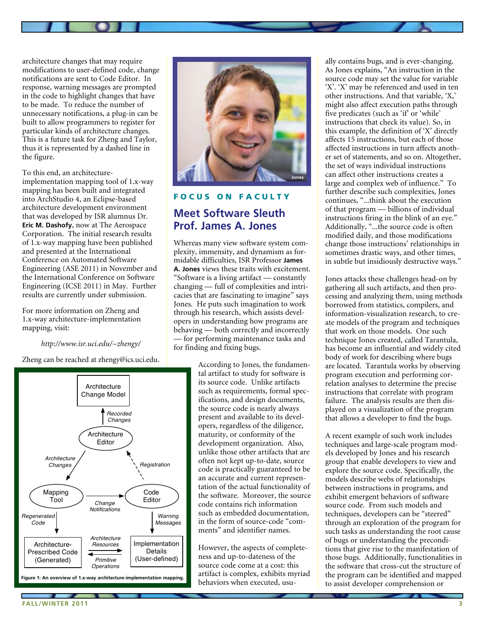architecture changes that may require modifications to user-defined code, change notifications are sent to Code Editor. In response, warning messages are prompted in the code to highlight changes that have to be made. To reduce the number of unnecessary notifications, a plug-in can be built to allow programmers to register for particular kinds of architecture changes. This is a future task for Zheng and Taylor, thus it is represented by a dashed line in the figure.

To this end, an architectureimplementation mapping tool of 1.x-way mapping has been built and integrated into ArchStudio 4, an Eclipse-based architecture development environment that was developed by ISR alumnus Dr. **Eric M. Dashofy**, now at The Aerospace Corporation. The initial research results of 1.x-way mapping have been published and presented at the International Conference on Automated Software Engineering (ASE 2011) in November and the International Conference on Software Engineering (ICSE 2011) in May. Further results are currently under submission.

For more information on Zheng and 1.x-way architecture-implementation mapping, visit:

*http://www.isr.uci.edu/~zhengy/*

Zheng can be reached at zhengy@ics.uci.edu.





# FOCUS ON FACULTY **Meet Software Sleuth Prof. James A. Jones**

Whereas many view software system complexity, immensity, and dynamism as formidable difficulties, ISR Professor **James A. Jones** views these traits with excitement. "Software is a living artifact — constantly changing — full of complexities and intricacies that are fascinating to imagine" says Jones. He puts such imagination to work through his research, which assists developers in understanding how programs are behaving — both correctly and incorrectly — for performing maintenance tasks and for finding and fixing bugs.

> According to Jones, the fundamental artifact to study for software is its source code. Unlike artifacts such as requirements, formal specifications, and design documents, the source code is nearly always present and available to its developers, regardless of the diligence, maturity, or conformity of the development organization. Also, unlike those other artifacts that are often not kept up-to-date, source code is practically guaranteed to be an accurate and current representation of the actual functionality of the software. Moreover, the source code contains rich information such as embedded documentation, in the form of source-code "comments" and identifier names.

> However, the aspects of completeness and up-to-dateness of the source code come at a cost: this artifact is complex, exhibits myriad behaviors when executed, usu

ally contains bugs, and is ever-changing. As Jones explains, "An instruction in the source code may set the value for variable 'X'. 'X' may be referenced and used in ten other instructions. And that variable, 'X,' might also affect execution paths through five predicates (such as 'if' or 'while' instructions that check its value). So, in this example, the definition of 'X' directly affects 15 instructions, but each of those affected instructions in turn affects another set of statements, and so on. Altogether, the set of ways individual instructions can affect other instructions creates a large and complex web of influence." To further describe such complexities, Jones continues, "...think about the execution of that program — billions of individual instructions firing in the blink of an eye." Additionally, "...the source code is often modified daily, and those modifications change those instructions' relationships in sometimes drastic ways, and other times, in subtle but insidiously destructive ways."

Jones attacks these challenges head-on by gathering all such artifacts, and then processing and analyzing them, using methods borrowed from statistics, compilers, and information-visualization research, to create models of the program and techniques that work on those models. One such technique Jones created, called Tarantula, has become an influential and widely cited body of work for describing where bugs are located. Tarantula works by observing program execution and performing correlation analyses to determine the precise instructions that correlate with program failure. The analysis results are then displayed on a visualization of the program that allows a developer to find the bugs.

A recent example of such work includes techniques and large-scale program models developed by Jones and his research group that enable developers to view and explore the source code. Specifically, the models describe webs of relationships between instructions in programs, and exhibit emergent behaviors of software source code. From such models and techniques, developers can be "steered" through an exploration of the program for such tasks as understanding the root cause of bugs or understanding the preconditions that give rise to the manifestation of those bugs. Additionally, functionalities in the software that cross-cut the structure of the program can be identified and mapped to assist developer comprehension or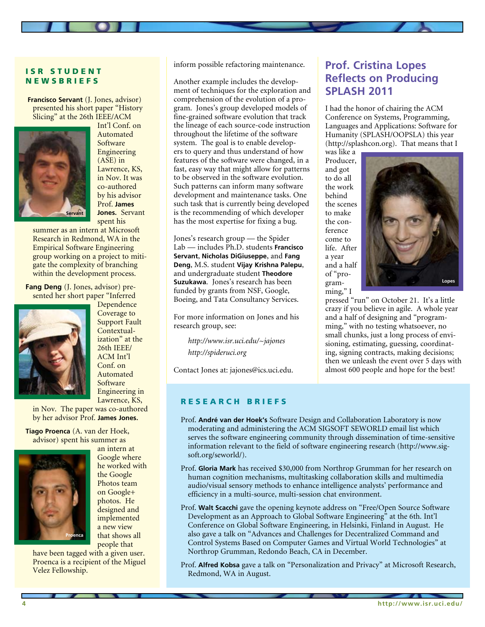# ISR STUDENT **NEWSBRIEFS**

**Francisco Servant** (J. Jones, advisor) presented his short paper "History Slicing" at the 26th IEEE/ACM



Int'l Conf. on Automated Software Engineering (ASE) in Lawrence, KS, in Nov. It was co-authored by his advisor Prof. **James Jones.** Servant spent his

summer as an intern at Microsoft Research in Redmond, WA in the Empirical Software Engineering group working on a project to mitigate the complexity of branching within the development process.

**Fang Deng** (J. Jones, advisor) presented her short paper "Inferred



Dependence Coverage to Support Fault Contextualization" at the 26th IEEE/ ACM Int'l Conf. on Automated Software Engineering in Lawrence, KS,

in Nov. The paper was co-authored by her advisor Prof. **James Jones.** 

**Tiago Proenca** (A. van der Hoek, advisor) spent his summer as



an intern at Google where he worked with the Google Photos team on Google+ photos. He designed and implemented a new view that shows all people that

have been tagged with a given user. Proenca is a recipient of the Miguel Velez Fellowship.

inform possible refactoring maintenance.

Another example includes the development of techniques for the exploration and comprehension of the evolution of a program. Jones's group developed models of fine-grained software evolution that track the lineage of each source-code instruction throughout the lifetime of the software system. The goal is to enable developers to query and thus understand of how features of the software were changed, in a fast, easy way that might allow for patterns to be observed in the software evolution. Such patterns can inform many software development and maintenance tasks. One such task that is currently being developed is the recommending of which developer has the most expertise for fixing a bug.

Jones's research group — the Spider Lab — includes Ph.D. students **Francisco Servant**, **Nicholas DiGiuseppe**, and **Fang Deng**, M.S. student **Vijay Krishna Palepu**, and undergraduate student **Theodore Suzukawa**. Jones's research has been funded by grants from NSF, Google, Boeing, and Tata Consultancy Services.

For more information on Jones and his research group, see:

*http://www.isr.uci.edu/~jajones http://spideruci.org*

Contact Jones at: jajones@ics.uci.edu.

### RESEARCH BRIEFS

**Prof. Cristina Lopes Reflects on Producing SPLASH 2011**

I had the honor of chairing the ACM Conference on Systems, Programming, Languages and Applications: Software for Humanity (SPLASH/OOPSLA) this year (http://splashcon.org). That means that I

was like a Producer, and got to do all the work behind the scenes to make the conference come to life. After a year and a half of "programming," I



pressed "run" on October 21. It's a little crazy if you believe in agile. A whole year and a half of designing and "programming," with no testing whatsoever, no small chunks, just a long process of envisioning, estimating, guessing, coordinating, signing contracts, making decisions; then we unleash the event over 5 days with almost 600 people and hope for the best!

- Prof. **André van der Hoek's** Software Design and Collaboration Laboratory is now moderating and administering the ACM SIGSOFT SEWORLD email list which serves the software engineering community through dissemination of time-sensitive information relevant to the field of software engineering research (http://www.sigsoft.org/seworld/).
- Prof. **Gloria Mark** has received \$30,000 from Northrop Grumman for her research on human cognition mechanisms, multitasking collaboration skills and multimedia audio/visual sensory methods to enhance intelligence analysts' performance and efficiency in a multi-source, multi-session chat environment.
- Prof. **Walt Scacchi** gave the opening keynote address on "Free/Open Source Software Development as an Approach to Global Software Engineering" at the 6th. Int'l Conference on Global Software Engineering, in Helsinki, Finland in August. He also gave a talk on "Advances and Challenges for Decentralized Command and Control Systems Based on Computer Games and Virtual World Technologies" at Northrop Grumman, Redondo Beach, CA in December.
- Prof. **Alfred Kobsa** gave a talk on "Personalization and Privacy" at Microsoft Research, Redmond, WA in August.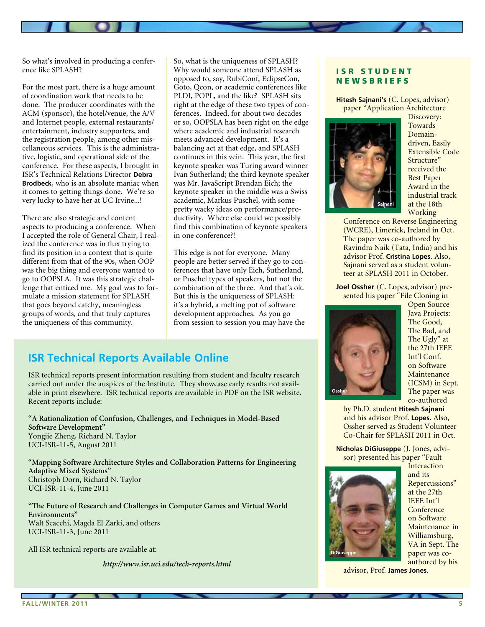So what's involved in producing a conference like SPLASH?

For the most part, there is a huge amount of coordination work that needs to be done. The producer coordinates with the ACM (sponsor), the hotel/venue, the A/V and Internet people, external restaurants/ entertainment, industry supporters, and the registration people, among other miscellaneous services. This is the administrative, logistic, and operational side of the conference. For these aspects, I brought in ISR's Technical Relations Director **Debra Brodbeck**, who is an absolute maniac when it comes to getting things done. We're so very lucky to have her at UC Irvine...!

There are also strategic and content aspects to producing a conference. When I accepted the role of General Chair, I realized the conference was in flux trying to find its position in a context that is quite different from that of the 90s, when OOP was the big thing and everyone wanted to go to OOPSLA. It was this strategic challenge that enticed me. My goal was to formulate a mission statement for SPLASH that goes beyond catchy, meaningless groups of words, and that truly captures the uniqueness of this community.

So, what is the uniqueness of SPLASH? Why would someone attend SPLASH as opposed to, say, RubiConf, EclipseCon, Goto, Qcon, or academic conferences like PLDI, POPL, and the like? SPLASH sits right at the edge of these two types of conferences. Indeed, for about two decades or so, OOPSLA has been right on the edge where academic and industrial research meets advanced development. It's a balancing act at that edge, and SPLASH continues in this vein. This year, the first keynote speaker was Turing award winner Ivan Sutherland; the third keynote speaker was Mr. JavaScript Brendan Eich; the keynote speaker in the middle was a Swiss academic, Markus Puschel, with some pretty wacky ideas on performance/productivity. Where else could we possibly find this combination of keynote speakers in one conference?!

This edge is not for everyone. Many people are better served if they go to conferences that have only Eich, Sutherland, or Puschel types of speakers, but not the combination of the three. And that's ok. But this is the uniqueness of SPLASH: it's a hybrid, a melting pot of software development approaches. As you go from session to session you may have the

# **ISR Technical Reports Available Online**

ISR technical reports present information resulting from student and faculty research carried out under the auspices of the Institute. They showcase early results not available in print elsewhere. ISR technical reports are available in PDF on the ISR website. Recent reports include:

**"A Rationalization of Confusion, Challenges, and Techniques in Model-Based Software Development"** Yongjie Zheng, Richard N. Taylor UCI-ISR-11-5, August 2011

**"Mapping Software Architecture Styles and Collaboration Patterns for Engineering Adaptive Mixed Systems"** Christoph Dorn, Richard N. Taylor UCI-ISR-11-4, June 2011

**"The Future of Research and Challenges in Computer Games and Virtual World Environments"** Walt Scacchi, Magda El Zarki, and others UCI-ISR-11-3, June 2011

All ISR technical reports are available at:

*http://www.isr.uci.edu/tech-reports.html*

# ISR STUDENT **NEWSBRIEFS**

**Hitesh Sajnani's** (C. Lopes, advisor) paper "Application Architecture



Discovery: Towards Domaindriven, Easily Extensible Code Structure" received the Best Paper Award in the industrial track at the 18th Working

Conference on Reverse Engineering (WCRE), Limerick, Ireland in Oct. The paper was co-authored by Ravindra Naik (Tata, India) and his advisor Prof. **Cristina Lopes**. Also, Sajnani served as a student volunteer at SPLASH 2011 in October.

**Joel Ossher** (C. Lopes, advisor) presented his paper "File Cloning in



Open Source Java Projects: The Good, The Bad, and The Ugly" at the 27th IEEE Int'l Conf. on Software Maintenance (ICSM) in Sept. The paper was co-authored

by Ph.D. student **Hitesh Sajnani** and his advisor Prof. **Lopes.** Also, Ossher served as Student Volunteer Co-Chair for SPLASH 2011 in Oct.

**Nicholas DiGiuseppe** (J. Jones, advisor) presented his paper "Fault

**DiGiuseppe**

Interaction and its Repercussions" at the 27th IEEE Int'l **Conference** on Software Maintenance in Williamsburg, VA in Sept. The paper was coauthored by his

advisor, Prof. **James Jones**.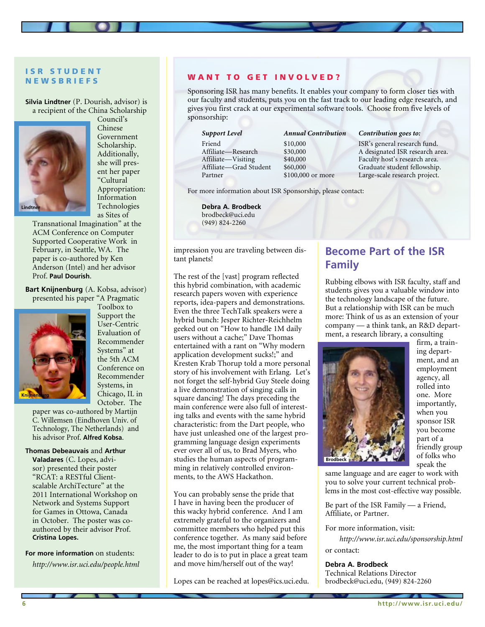# ISR STUDENT **NEWSBRIEFS**

**Silvia Lindtner** (P. Dourish, advisor) is a recipient of the China Scholarship



Council's Chinese Government Scholarship. Additionally, she will present her paper "Cultural Appropriation: Information Technologies as Sites of

Transnational Imagination" at the ACM Conference on Computer Supported Cooperative Work in February, in Seattle, WA. The paper is co-authored by Ken Anderson (Intel) and her advisor Prof. **Paul Dourish**.

**Bart Knijnenburg** (A. Kobsa, advisor) presented his paper "A Pragmatic



Toolbox to Support the User-Centric Evaluation of Recommender Systems" at the 5th ACM Conference on Recommender Systems, in Chicago, IL in October. The

paper was co-authored by Martijn C. Willemsen (Eindhoven Univ. of Technology, The Netherlands) and his advisor Prof. **Alfred Kobsa**.

#### **Thomas Debeauvais** and **Arthur**

**Valadares** (C. Lopes, advisor) presented their poster "RCAT: a RESTful Clientscalable ArchiTecture" at the 2011 International Workshop on Network and Systems Support for Games in Ottowa, Canada in October. The poster was coauthored by their advisor Prof. **Cristina Lopes.**

**For more information** on students: *http://www.isr.uci.edu/people.html*

### WANT TO GET INVOLVED?

Sponsoring ISR has many benefits. It enables your company to form closer ties with our faculty and students, puts you on the fast track to our leading edge research, and gives you first crack at our experimental software tools. Choose from five levels of sponsorship:

| <b>Support Level</b>   | Annual   |
|------------------------|----------|
| Friend                 | \$10,000 |
| Affiliate—Research     | \$30,000 |
| Affiliate—Visiting     | \$40,000 |
| Affiliate—Grad Student | \$60,000 |
| Partner                | \$100,00 |

#### *A Contribution <i>Contribution* goes to:

ISR's general research fund. A designated ISR research area. Faculty host's research area. Graduate student fellowship. 00 or more Large-scale research project.

For more information about ISR Sponsorship, please contact:

**Debra A. Brodbeck** brodbeck@uci.edu (949) 824-2260

impression you are traveling between distant planets!

The rest of the [vast] program reflected this hybrid combination, with academic research papers woven with experience reports, idea-papers and demonstrations. Even the three TechTalk speakers were a hybrid bunch: Jesper Richter-Reichhelm geeked out on "How to handle 1M daily users without a cache;" Dave Thomas entertained with a rant on "Why modern application development sucks!;" and Kresten Krab Thorup told a more personal story of his involvement with Erlang. Let's not forget the self-hybrid Guy Steele doing a live demonstration of singing calls in square dancing! The days preceding the main conference were also full of interesting talks and events with the same hybrid characteristic: from the Dart people, who have just unleashed one of the largest programming language design experiments ever over all of us, to Brad Myers, who studies the human aspects of programming in relatively controlled environments, to the AWS Hackathon.

You can probably sense the pride that I have in having been the producer of this wacky hybrid conference. And I am extremely grateful to the organizers and committee members who helped put this conference together. As many said before me, the most important thing for a team leader to do is to put in place a great team and move him/herself out of the way!

Lopes can be reached at lopes@ics.uci.edu.

# **Become Part of the ISR Family**

Rubbing elbows with ISR faculty, staff and students gives you a valuable window into the technology landscape of the future. But a relationship with ISR can be much more: Think of us as an extension of your company — a think tank, an R&D department, a research library, a consulting



firm, a training department, and an employment agency, all rolled into one. More importantly, when you sponsor ISR you become part of a friendly group of folks who speak the

same language and are eager to work with you to solve your current technical problems in the most cost-effective way possible.

Be part of the ISR Family — a Friend, Affiliate, or Partner.

For more information, visit:

*http://www.isr.uci.edu/sponsorship.html* or contact:

#### **Debra A. Brodbeck**

Technical Relations Director brodbeck@uci.edu, (949) 824-2260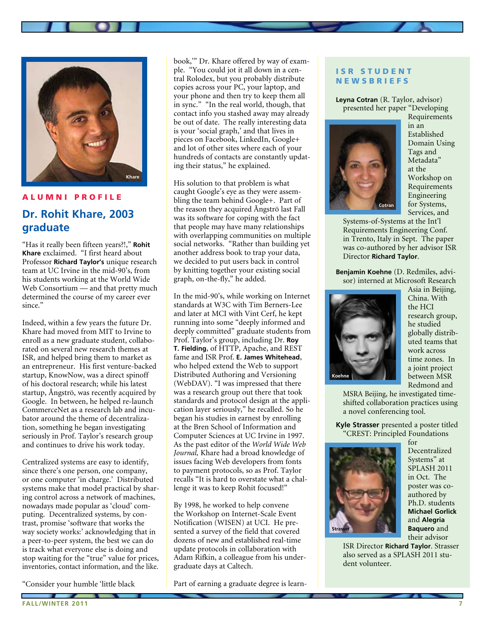

### A l u m ni P r ofile

# **Dr. Rohit Khare, 2003 graduate**

"Has it really been fifteen years?!," **Rohit Khare** exclaimed. "I first heard about Professor **Richard Taylor's** unique research team at UC Irvine in the mid-90's, from his students working at the World Wide Web Consortium — and that pretty much determined the course of my career ever since."

Indeed, within a few years the future Dr. Khare had moved from MIT to Irvine to enroll as a new graduate student, collaborated on several new research themes at ISR, and helped bring them to market as an entrepreneur. His first venture-backed startup, KnowNow, was a direct spinoff of his doctoral research; while his latest startup, Ångströ, was recently acquired by Google. In between, he helped re-launch CommerceNet as a research lab and incubator around the theme of decentralization, something he began investigating seriously in Prof. Taylor's research group and continues to drive his work today.

Centralized systems are easy to identify, since there's one person, one company, or one computer 'in charge.' Distributed systems make that model practical by sharing control across a network of machines, nowadays made popular as 'cloud' computing. Decentralized systems, by contrast, promise 'software that works the way society works:' acknowledging that in a peer-to-peer system, the best we can do is track what everyone else is doing and stop waiting for the "true" value for prices, inventories, contact information, and the like.

"Consider your humble 'little black

book,'" Dr. Khare offered by way of example. "You could jot it all down in a central Rolodex, but you probably distribute copies across your PC, your laptop, and your phone and then try to keep them all in sync." "In the real world, though, that contact info you stashed away may already be out of date. The really interesting data is your 'social graph,' and that lives in pieces on Facebook, LinkedIn, Google+ and lot of other sites where each of your hundreds of contacts are constantly updating their status," he explained.

His solution to that problem is what caught Google's eye as they were assembling the team behind Google+. Part of the reason they acquired Ångströ last Fall was its software for coping with the fact that people may have many relationships with overlapping communities on multiple social networks. "Rather than building yet another address book to trap your data, we decided to put users back in control by knitting together your existing social graph, on-the-fly," he added.

In the mid-90's, while working on Internet standards at W3C with Tim Berners-Lee and later at MCI with Vint Cerf, he kept running into some "deeply informed and deeply committed" graduate students from Prof. Taylor's group, including Dr. **Roy T. Fielding**, of HTTP, Apache, and REST fame and ISR Prof. **E. James Whitehead**, who helped extend the Web to support Distributed Authoring and Versioning (WebDAV). "I was impressed that there was a research group out there that took standards and protocol design at the application layer seriously," he recalled. So he began his studies in earnest by enrolling at the Bren School of Information and Computer Sciences at UC Irvine in 1997. As the past editor of the *World Wide Web Journal,* Khare had a broad knowledge of issues facing Web developers from fonts to payment protocols, so as Prof. Taylor recalls "It is hard to overstate what a challenge it was to keep Rohit focused!"

By 1998, he worked to help convene the Workshop on Internet-Scale Event Notification (WISEN) at UCI. He presented a survey of the field that covered dozens of new and established real-time update protocols in collaboration with Adam Rifkin, a colleague from his undergraduate days at Caltech.

Part of earning a graduate degree is learn-

### ISR STUDENT **NEWSBRIEFS**

**Leyna Cotran** (R. Taylor, advisor) presented her paper "Developing



Requirements in an Established Domain Using Tags and Metadata" at the Workshop on Requirements Engineering for Systems, Services, and

Systems-of-Systems at the Int'l Requirements Engineering Conf. in Trento, Italy in Sept. The paper was co-authored by her advisor ISR Director **Richard Taylor**.

**Benjamin Koehne** (D. Redmiles, advisor) interned at Microsoft Research



Asia in Beijing, China. With the HCI research group, he studied globally distributed teams that work across time zones. In a joint project between MSR Redmond and

MSRA Beijing, he investigated timeshifted collaboration practices using a novel conferencing tool.

**Kyle Strasser** presented a poster titled "CREST: Principled Foundations



for Decentralized Systems" at SPLASH 2011 in Oct. The poster was coauthored by Ph.D. students **Michael Gorlick**  and **Alegria Baquero** and their advisor

ISR Director **Richard Taylor**. Strasser also served as a SPLASH 2011 student volunteer.